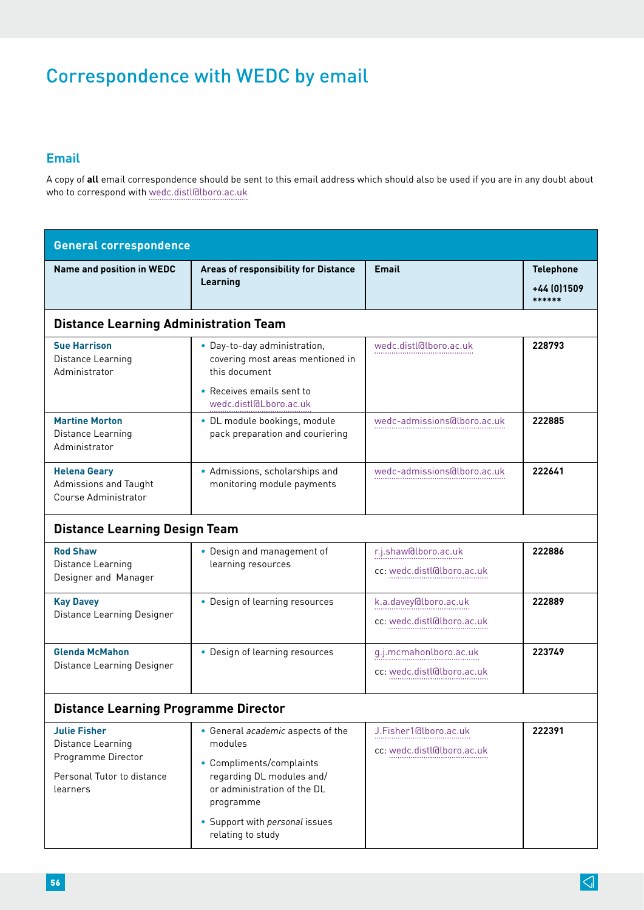# Correspondence with WEDC by email

## **Email**

A copy of **all** email correspondence should be sent to this email address which should also be used if you are in any doubt about who to correspond with [wedc.distl@lboro.ac.uk](mailto:wedc.distL%40Lboro.ac.uk?subject=)

| <b>General correspondence</b>                                                                            |                                                                                                                                                                                                          |                                                      |                                            |  |  |
|----------------------------------------------------------------------------------------------------------|----------------------------------------------------------------------------------------------------------------------------------------------------------------------------------------------------------|------------------------------------------------------|--------------------------------------------|--|--|
| <b>Name and position in WEDC</b>                                                                         | <b>Areas of responsibility for Distance</b><br>Learning                                                                                                                                                  | <b>Email</b>                                         | <b>Telephone</b><br>+44 (0) 1509<br>****** |  |  |
| <b>Distance Learning Administration Team</b>                                                             |                                                                                                                                                                                                          |                                                      |                                            |  |  |
| <b>Sue Harrison</b><br>Distance Learning<br>Administrator                                                | • Day-to-day administration,<br>covering most areas mentioned in<br>this document                                                                                                                        | wedc.distl@lboro.ac.uk                               | 228793                                     |  |  |
|                                                                                                          | • Receives emails sent to<br>wedc.distl@Lboro.ac.uk                                                                                                                                                      |                                                      |                                            |  |  |
| <b>Martine Morton</b><br>Distance Learning<br>Administrator                                              | · DL module bookings, module<br>pack preparation and couriering                                                                                                                                          | wedc-admissions@lboro.ac.uk                          | 222885                                     |  |  |
| <b>Helena Geary</b><br>Admissions and Taught<br>Course Administrator                                     | • Admissions, scholarships and<br>monitoring module payments                                                                                                                                             | wedc-admissions@lboro.ac.uk                          | 222641                                     |  |  |
| <b>Distance Learning Design Team</b>                                                                     |                                                                                                                                                                                                          |                                                      |                                            |  |  |
| <b>Rod Shaw</b><br>Distance Learning<br>Designer and Manager                                             | • Design and management of<br>learning resources                                                                                                                                                         | r.j.shaw@lboro.ac.uk<br>cc: wedc.distl@lboro.ac.uk   | 222886                                     |  |  |
| <b>Kay Davey</b><br>Distance Learning Designer                                                           | • Design of learning resources                                                                                                                                                                           | k.a.davey@lboro.ac.uk<br>cc: wedc.distl@lboro.ac.uk  | 222889                                     |  |  |
| <b>Glenda McMahon</b><br>Distance Learning Designer                                                      | • Design of learning resources                                                                                                                                                                           | g.j.mcmahonlboro.ac.uk<br>cc: wedc.distl@lboro.ac.uk | 223749                                     |  |  |
| <b>Distance Learning Programme Director</b>                                                              |                                                                                                                                                                                                          |                                                      |                                            |  |  |
| <b>Julie Fisher</b><br>Distance Learning<br>Programme Director<br>Personal Tutor to distance<br>learners | • General academic aspects of the<br>modules<br>• Compliments/complaints<br>regarding DL modules and/<br>or administration of the DL<br>programme<br>• Support with personal issues<br>relating to study | J.Fisher1@lboro.ac.uk<br>cc: wedc.distl@lboro.ac.uk  | 222391                                     |  |  |